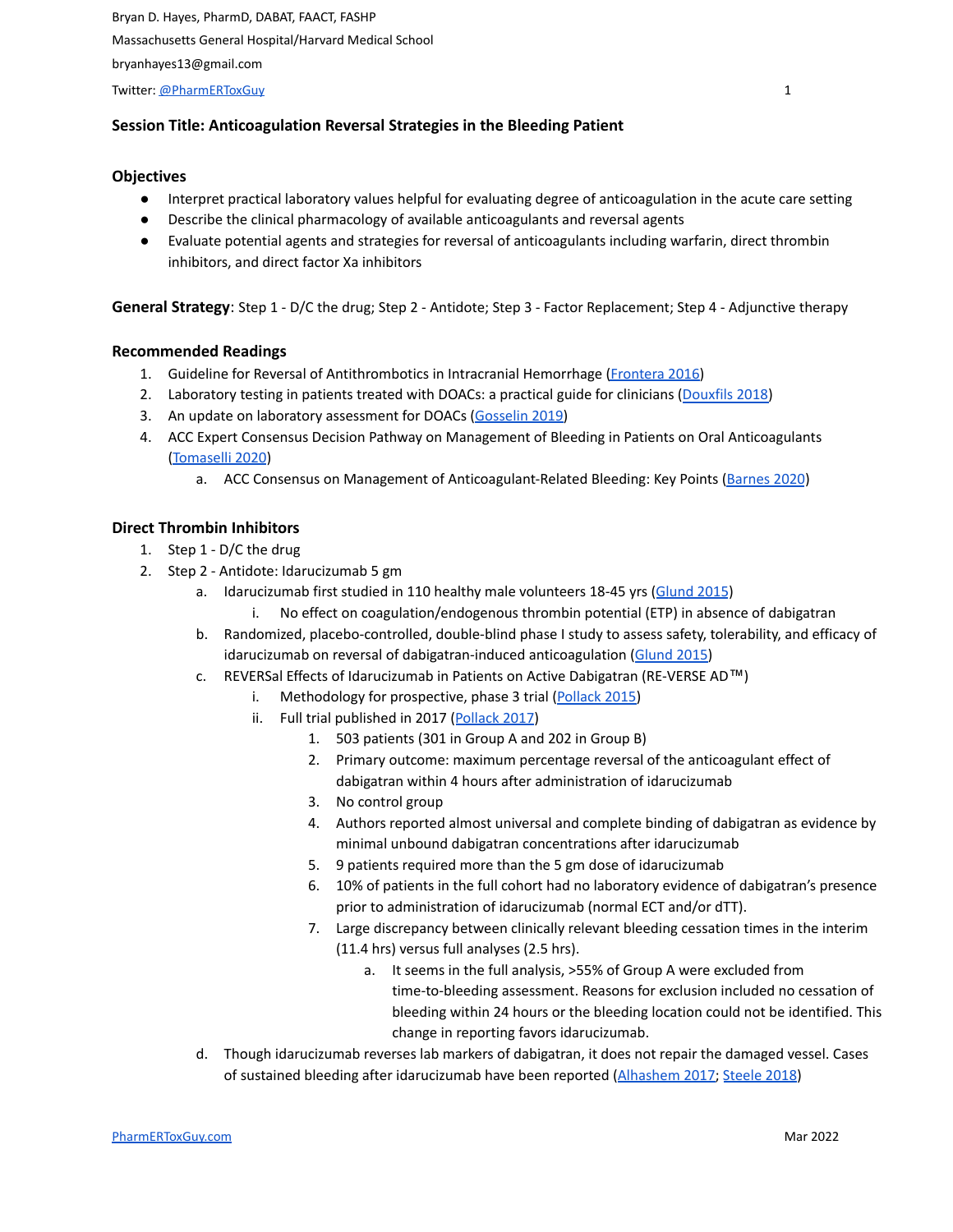Twitter: [@PharmERToxGuy](https://twitter.com/PharmERToxGuy) 1

# **Session Title: Anticoagulation Reversal Strategies in the Bleeding Patient**

#### **Objectives**

- Interpret practical laboratory values helpful for evaluating degree of anticoagulation in the acute care setting
- Describe the clinical pharmacology of available anticoagulants and reversal agents
- Evaluate potential agents and strategies for reversal of anticoagulants including warfarin, direct thrombin inhibitors, and direct factor Xa inhibitors

**General Strategy**: Step 1 - D/C the drug; Step 2 - Antidote; Step 3 - Factor Replacement; Step 4 - Adjunctive therapy

### **Recommended Readings**

- 1. Guideline for Reversal of Antithrombotics in Intracranial Hemorrhage [\(Frontera](http://www.ncbi.nlm.nih.gov/pubmed/26714677) 2016)
- 2. Laboratory testing in patients treated with DOACs: a practical guide for clinicians ([Douxfils](https://pubmed.ncbi.nlm.nih.gov/29193737/) 2018)
- 3. An update on laboratory assessment for DOACs [\(Gosselin](https://pubmed.ncbi.nlm.nih.gov/31069969/) 2019)
- 4. ACC Expert Consensus Decision Pathway on Management of Bleeding in Patients on Oral Anticoagulants [\(Tomaselli](https://pubmed.ncbi.nlm.nih.gov/32680646/) 2020)
	- a. ACC Consensus on Management of Anticoagulant-Related Bleeding: Key Points [\(Barnes](https://www.acc.org/latest-in-cardiology/ten-points-to-remember/2020/07/10/11/26/2020-acc-expert-consensus-decision-pathway-on-bleeding) 2020)

### **Direct Thrombin Inhibitors**

- 1. Step 1 D/C the drug
- 2. Step 2 Antidote: Idarucizumab 5 gm
	- a. Idarucizumab first studied in 110 healthy male volunteers 18-45 yrs ([Glund](http://www.ncbi.nlm.nih.gov/pubmed/25789661) 2015)
		- i. No effect on coagulation/endogenous thrombin potential (ETP) in absence of dabigatran
	- b. Randomized, placebo-controlled, double-blind phase I study to assess safety, tolerability, and efficacy of idarucizumab on reversal of dabigatran-induced anticoagulation [\(Glund](http://www.ncbi.nlm.nih.gov/pubmed/26088268) 2015)
	- c. REVERSal Effects of Idarucizumab in Patients on Active Dabigatran (RE-VERSE AD™)
		- i. Methodology for prospective, phase 3 trial [\(Pollack](http://www.ncbi.nlm.nih.gov/pubmed/26020620) 2015)
		- ii. Full trial published in 2017 ([Pollack](https://www.ncbi.nlm.nih.gov/pubmed/28693366) 2017)
			- 1. 503 patients (301 in Group A and 202 in Group B)
			- 2. Primary outcome: maximum percentage reversal of the anticoagulant effect of dabigatran within 4 hours after administration of idarucizumab
			- 3. No control group
			- 4. Authors reported almost universal and complete binding of dabigatran as evidence by minimal unbound dabigatran concentrations after idarucizumab
			- 5. 9 patients required more than the 5 gm dose of idarucizumab
			- 6. 10% of patients in the full cohort had no laboratory evidence of dabigatran's presence prior to administration of idarucizumab (normal ECT and/or dTT).
			- 7. Large discrepancy between clinically relevant bleeding cessation times in the interim (11.4 hrs) versus full analyses (2.5 hrs).
				- a. It seems in the full analysis, >55% of Group A were excluded from time-to-bleeding assessment. Reasons for exclusion included no cessation of bleeding within 24 hours or the bleeding location could not be identified. This change in reporting favors idarucizumab.
	- d. Though idarucizumab reverses lab markers of dabigatran, it does not repair the damaged vessel. Cases of sustained bleeding after idarucizumab have been reported ([Alhashem](https://www.ncbi.nlm.nih.gov/pubmed/27439386) 2017; [Steele](https://www.ncbi.nlm.nih.gov/pubmed/28704111) 2018)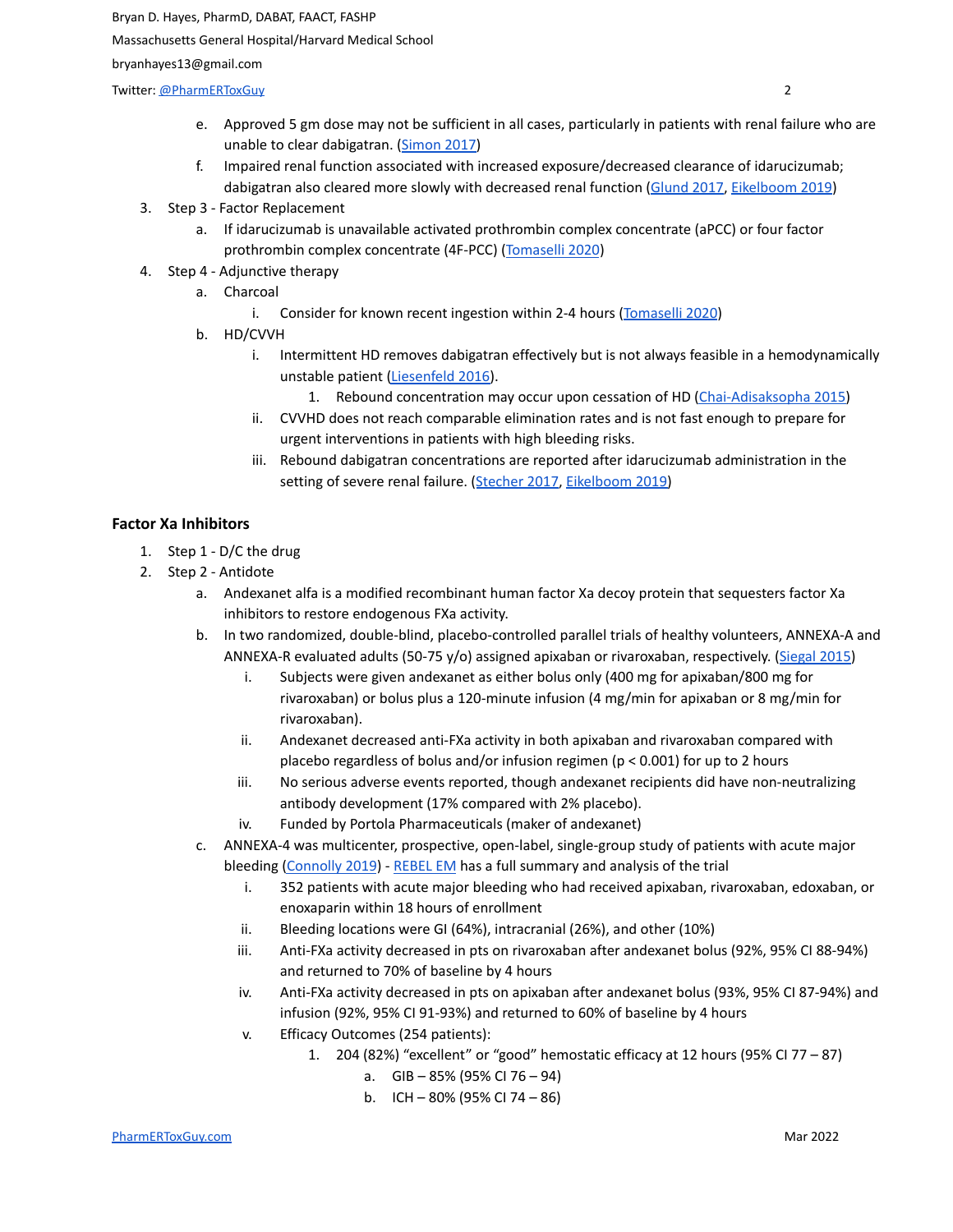Bryan D. Hayes, PharmD, DABAT, FAACT, FASHP

Massachusetts General Hospital/Harvard Medical School

bryanhayes13@gmail.com

**Twitter:** [@PharmERToxGuy](https://twitter.com/PharmERToxGuy) 2

- e. Approved 5 gm dose may not be sufficient in all cases, particularly in patients with renal failure who are unable to clear dabigatran. [\(Simon](https://www.ncbi.nlm.nih.gov/pubmed/28426914) 2017)
- f. Impaired renal function associated with increased exposure/decreased clearance of idarucizumab; dabigatran also cleared more slowly with decreased renal function [\(Glund](https://www.ncbi.nlm.nih.gov/pubmed/27317414) 2017, [Eikelboom](https://pubmed.ncbi.nlm.nih.gov/31582135/) 2019)
- 3. Step 3 Factor Replacement
	- a. If idarucizumab is unavailable activated prothrombin complex concentrate (aPCC) or four factor prothrombin complex concentrate (4F-PCC) [\(Tomaselli](https://pubmed.ncbi.nlm.nih.gov/32680646/) 2020)
- 4. Step 4 Adjunctive therapy
	- a. Charcoal
		- i. Consider for known recent ingestion within 2-4 hours ([Tomaselli](https://pubmed.ncbi.nlm.nih.gov/32680646/) 2020)
	- b. HD/CVVH
		- i. Intermittent HD removes dabigatran effectively but is not always feasible in a hemodynamically unstable patient [\(Liesenfeld](http://www.ncbi.nlm.nih.gov/pubmed/26272714) 2016).
			- 1. Rebound concentration may occur upon cessation of HD [\(Chai-Adisaksopha](https://www.ncbi.nlm.nih.gov/pubmed/26270886) 2015)
		- ii. CVVHD does not reach comparable elimination rates and is not fast enough to prepare for urgent interventions in patients with high bleeding risks.
		- iii. Rebound dabigatran concentrations are reported after idarucizumab administration in the setting of severe renal failure. ([Stecher](https://www.ncbi.nlm.nih.gov/pubmed/28459790) 2017, [Eikelboom](https://pubmed.ncbi.nlm.nih.gov/31582135/) 2019)

# **Factor Xa Inhibitors**

- 1. Step 1 D/C the drug
- 2. Step 2 Antidote
	- a. Andexanet alfa is a modified recombinant human factor Xa decoy protein that sequesters factor Xa inhibitors to restore endogenous FXa activity.
	- b. In two randomized, double-blind, placebo-controlled parallel trials of healthy volunteers, ANNEXA-A and ANNEXA-R evaluated adults (50-75 y/o) assigned apixaban or rivaroxaban, respectively. ([Siegal](https://www.ncbi.nlm.nih.gov/pubmed/26559317) 2015)
		- i. Subjects were given andexanet as either bolus only (400 mg for apixaban/800 mg for rivaroxaban) or bolus plus a 120-minute infusion (4 mg/min for apixaban or 8 mg/min for rivaroxaban).
		- ii. Andexanet decreased anti-FXa activity in both apixaban and rivaroxaban compared with placebo regardless of bolus and/or infusion regimen (p < 0.001) for up to 2 hours
		- iii. No serious adverse events reported, though andexanet recipients did have non-neutralizing antibody development (17% compared with 2% placebo).
		- iv. Funded by Portola Pharmaceuticals (maker of andexanet)
	- c. ANNEXA-4 was multicenter, prospective, open-label, single-group study of patients with acute major bleeding [\(Connolly](https://pubmed.ncbi.nlm.nih.gov/30730782/) 2019) - [REBEL](https://rebelem.com/annexa-4-andexanet-alfa-and-factor-xa-inhibitors/) EM has a full summary and analysis of the trial
		- i. 352 patients with acute major bleeding who had received apixaban, rivaroxaban, edoxaban, or enoxaparin within 18 hours of enrollment
		- ii. Bleeding locations were GI (64%), intracranial (26%), and other (10%)
		- iii. Anti-FXa activity decreased in pts on rivaroxaban after andexanet bolus (92%, 95% CI 88-94%) and returned to 70% of baseline by 4 hours
		- iv. Anti-FXa activity decreased in pts on apixaban after andexanet bolus (93%, 95% CI 87-94%) and infusion (92%, 95% CI 91-93%) and returned to 60% of baseline by 4 hours
		- v. Efficacy Outcomes (254 patients):
			- 1. 204 (82%) "excellent" or "good" hemostatic efficacy at 12 hours (95% CI 77 87)
				- a. GIB 85% (95% CI 76 94)
				- b. ICH 80% (95% CI 74 86)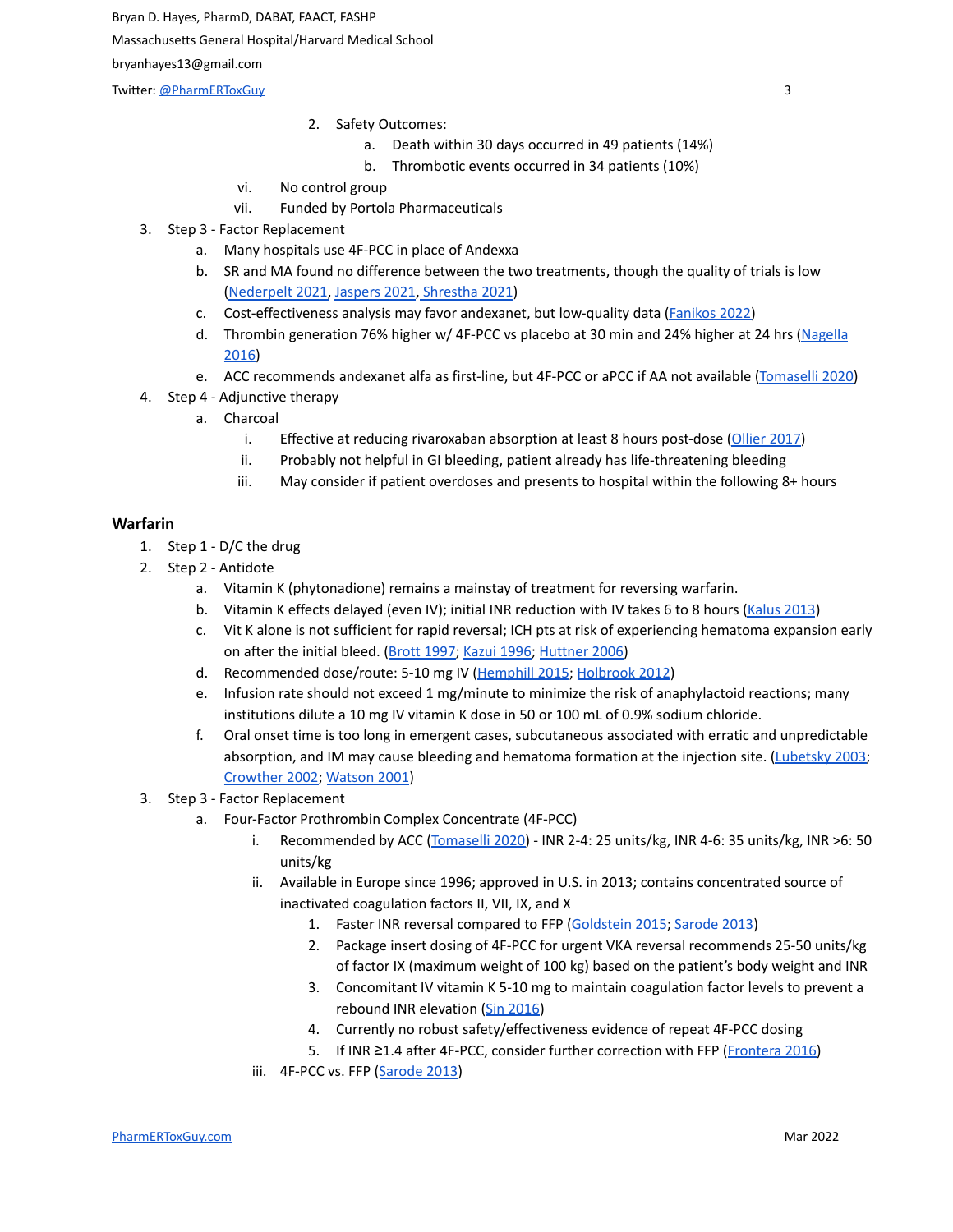Twitter: <u>[@PharmERToxGuy](https://twitter.com/PharmERToxGuy)</u> 3

- 2. Safety Outcomes:
	- a. Death within 30 days occurred in 49 patients (14%)
	- b. Thrombotic events occurred in 34 patients (10%)
- vi. No control group
- vii. Funded by Portola Pharmaceuticals
- 3. Step 3 Factor Replacement
	- a. Many hospitals use 4F-PCC in place of Andexxa
	- b. SR and MA found no difference between the two treatments, though the quality of trials is low [\(Nederpelt](https://pubmed.ncbi.nlm.nih.gov/33967205/) 2021, [Jaspers](https://onlinelibrary.wiley.com/doi/full/10.1002/rth2.12518) 2021, [Shrestha](https://www.ncbi.nlm.nih.gov/pmc/articles/PMC8783383/) 2021)
	- c. Cost-effectiveness analysis may favor andexanet, but low-quality data [\(Fanikos](https://pubmed.ncbi.nlm.nih.gov/35168455/) 2022)
	- d. Thrombin generation 76% higher w/ 4F-PCC vs placebo at 30 min and 24% higher at 24 hrs [\(Nagella](https://pubmed.ncbi.nlm.nih.gov/27170068/) [2016](https://pubmed.ncbi.nlm.nih.gov/27170068/))
	- e. ACC recommends andexanet alfa as first-line, but 4F-PCC or aPCC if AA not available [\(Tomaselli](https://pubmed.ncbi.nlm.nih.gov/32680646/) 2020)
- 4. Step 4 Adjunctive therapy
	- a. Charcoal
		- i. Effective at reducing rivaroxaban absorption at least 8 hours post-dose [\(Ollier](https://www.ncbi.nlm.nih.gov/pubmed/27910037) 2017)
		- ii. Probably not helpful in GI bleeding, patient already has life-threatening bleeding
		- iii. May consider if patient overdoses and presents to hospital within the following 8+ hours

#### **Warfarin**

- 1. Step 1 D/C the drug
- 2. Step 2 Antidote
	- a. Vitamin K (phytonadione) remains a mainstay of treatment for reversing warfarin.
	- b. Vitamin K effects delayed (even IV); initial INR reduction with IV takes 6 to 8 hours [\(Kalus](https://www.ncbi.nlm.nih.gov/pubmed/23640528) 2013)
	- c. Vit K alone is not sufficient for rapid reversal; ICH pts at risk of experiencing hematoma expansion early on after the initial bleed. (Brott [1997;](https://www.ncbi.nlm.nih.gov/pubmed/8996478) [Kazui](https://www.ncbi.nlm.nih.gov/pubmed/8841330) 1996; [Huttner](https://www.ncbi.nlm.nih.gov/pubmed/16675739) 2006)
	- d. Recommended dose/route: 5-10 mg IV ([Hemphill](https://www.ncbi.nlm.nih.gov/pubmed/26022637) 2015; [Holbrook](https://www.ncbi.nlm.nih.gov/pubmed/22315259) 2012)
	- e. Infusion rate should not exceed 1 mg/minute to minimize the risk of anaphylactoid reactions; many institutions dilute a 10 mg IV vitamin K dose in 50 or 100 mL of 0.9% sodium chloride.
	- f. Oral onset time is too long in emergent cases, subcutaneous associated with erratic and unpredictable absorption, and IM may cause bleeding and hematoma formation at the injection site. [\(Lubetsky](https://www.ncbi.nlm.nih.gov/pubmed/14609783) 2003; [Crowther](https://www.ncbi.nlm.nih.gov/pubmed/12186515) 2002; [Watson](https://www.ncbi.nlm.nih.gov/pubmed/11722425) 2001)
- 3. Step 3 Factor Replacement
	- a. Four-Factor Prothrombin Complex Concentrate (4F-PCC)
		- i. Recommended by ACC [\(Tomaselli](https://pubmed.ncbi.nlm.nih.gov/32680646/) 2020) INR 2-4: 25 units/kg, INR 4-6: 35 units/kg, INR >6: 50 units/kg
		- ii. Available in Europe since 1996; approved in U.S. in 2013; contains concentrated source of inactivated coagulation factors II, VII, IX, and X
			- 1. Faster INR reversal compared to FFP [\(Goldstein](https://www.ncbi.nlm.nih.gov/pubmed/25728933) 2015; [Sarode](https://www.ncbi.nlm.nih.gov/pubmed/23935011) 2013)
			- 2. Package insert dosing of 4F-PCC for urgent VKA reversal recommends 25-50 units/kg of factor IX (maximum weight of 100 kg) based on the patient's body weight and INR
			- 3. Concomitant IV vitamin K 5-10 mg to maintain coagulation factor levels to prevent a rebound INR elevation (Sin [2016\)](https://www.ncbi.nlm.nih.gov/pubmed/27546767)
			- 4. Currently no robust safety/effectiveness evidence of repeat 4F-PCC dosing
			- 5. If INR ≥1.4 after 4F-PCC, consider further correction with FFP ([Frontera](https://www.ncbi.nlm.nih.gov/pubmed/26714677) 2016)
		- iii. 4F-PCC vs. FFP ([Sarode](https://www.ncbi.nlm.nih.gov/pubmed/23935011) 2013)